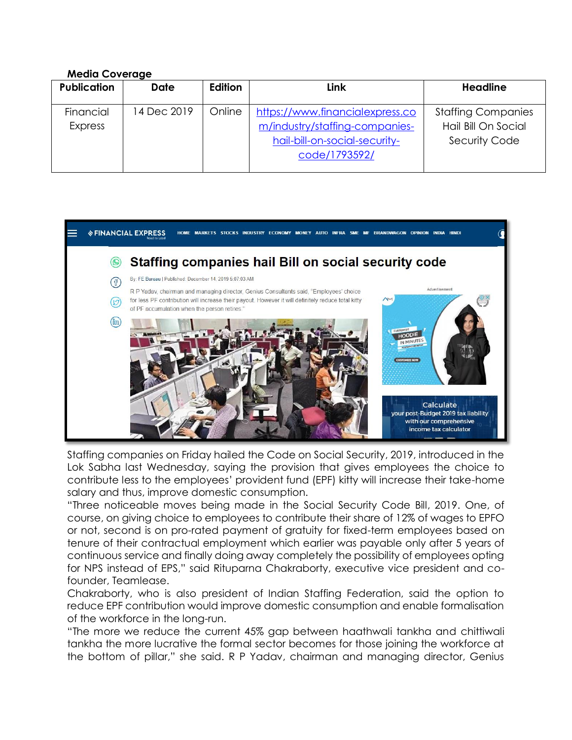## **Media Coverage**

| <b>Publication</b>          | <b>Date</b> | Edition | Link                                                                                                                | <b>Headline</b>                                                          |
|-----------------------------|-------------|---------|---------------------------------------------------------------------------------------------------------------------|--------------------------------------------------------------------------|
| Financial<br><b>Express</b> | 14 Dec 2019 | Online  | https://www.financialexpress.co<br>m/industry/staffing-companies-<br>hail-bill-on-social-security-<br>code/1793592/ | <b>Staffing Companies</b><br>Hail Bill On Social<br><b>Security Code</b> |



Staffing companies on Friday hailed the Code on Social Security, 2019, introduced in the Lok Sabha last Wednesday, saying the provision that gives employees the choice to contribute less to the employees' provident fund (EPF) kitty will increase their take-home salary and thus, improve domestic consumption.

"Three noticeable moves being made in the Social Security Code Bill, 2019. One, of course, on giving choice to employees to contribute their share of 12% of wages to EPFO or not, second is on pro-rated payment of gratuity for fixed-term employees based on tenure of their contractual employment which earlier was payable only after 5 years of continuous service and finally doing away completely the possibility of employees opting for NPS instead of EPS," said Rituparna Chakraborty, executive vice president and cofounder, Teamlease.

Chakraborty, who is also president of Indian Staffing Federation, said the option to reduce EPF contribution would improve domestic consumption and enable formalisation of the workforce in the long-run.

"The more we reduce the current 45% gap between haathwali tankha and chittiwali tankha the more lucrative the formal sector becomes for those joining the workforce at the bottom of pillar," she said. R P Yadav, chairman and managing director, Genius